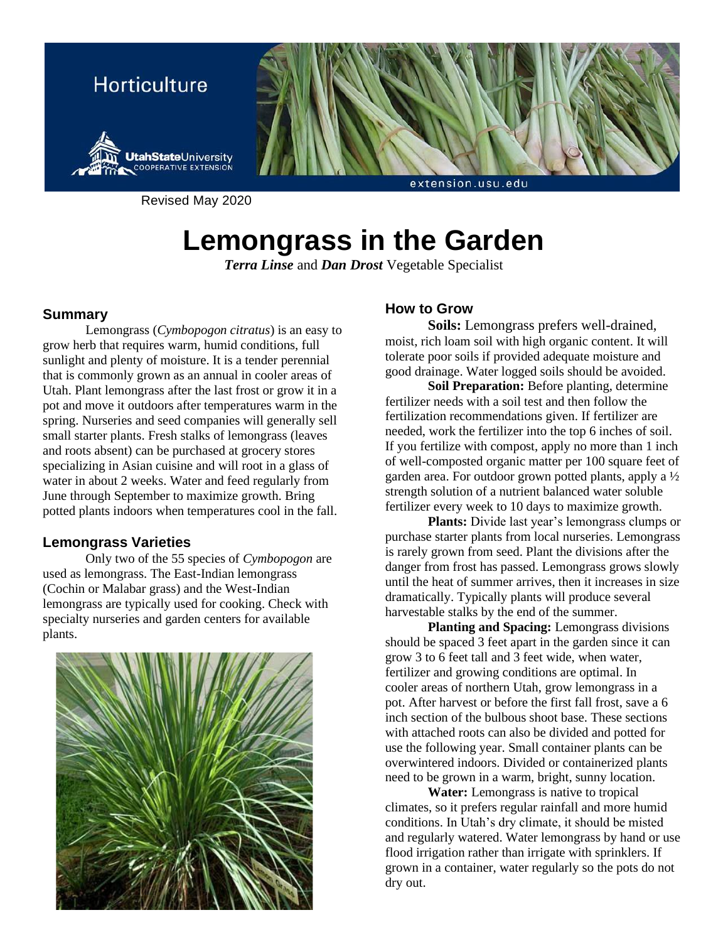

Revised May 2020

# **Lemongrass in the Garden**

*Terra Linse* and *Dan Drost* Vegetable Specialist

### **Summary**

Lemongrass (*Cymbopogon citratus*) is an easy to grow herb that requires warm, humid conditions, full sunlight and plenty of moisture. It is a tender perennial that is commonly grown as an annual in cooler areas of Utah. Plant lemongrass after the last frost or grow it in a pot and move it outdoors after temperatures warm in the spring. Nurseries and seed companies will generally sell small starter plants. Fresh stalks of lemongrass (leaves and roots absent) can be purchased at grocery stores specializing in Asian cuisine and will root in a glass of water in about 2 weeks. Water and feed regularly from June through September to maximize growth. Bring potted plants indoors when temperatures cool in the fall.

## **Lemongrass Varieties**

Only two of the 55 species of *Cymbopogon* are used as lemongrass. The East-Indian lemongrass (Cochin or Malabar grass) and the West-Indian lemongrass are typically used for cooking. Check with specialty nurseries and garden centers for available plants.



# **How to Grow**

**Soils:** Lemongrass prefers well-drained, moist, rich loam soil with high organic content. It will tolerate poor soils if provided adequate moisture and good drainage. Water logged soils should be avoided.

**Soil Preparation:** Before planting, determine fertilizer needs with a soil test and then follow the fertilization recommendations given. If fertilizer are needed, work the fertilizer into the top 6 inches of soil. If you fertilize with compost, apply no more than 1 inch of well-composted organic matter per 100 square feet of garden area. For outdoor grown potted plants, apply a ½ strength solution of a nutrient balanced water soluble fertilizer every week to 10 days to maximize growth.

**Plants:** Divide last year's lemongrass clumps or purchase starter plants from local nurseries. Lemongrass is rarely grown from seed. Plant the divisions after the danger from frost has passed. Lemongrass grows slowly until the heat of summer arrives, then it increases in size dramatically. Typically plants will produce several harvestable stalks by the end of the summer.

**Planting and Spacing:** Lemongrass divisions should be spaced 3 feet apart in the garden since it can grow 3 to 6 feet tall and 3 feet wide, when water, fertilizer and growing conditions are optimal. In cooler areas of northern Utah, grow lemongrass in a pot. After harvest or before the first fall frost, save a 6 inch section of the bulbous shoot base. These sections with attached roots can also be divided and potted for use the following year. Small container plants can be overwintered indoors. Divided or containerized plants need to be grown in a warm, bright, sunny location.

**Water:** Lemongrass is native to tropical climates, so it prefers regular rainfall and more humid conditions. In Utah's dry climate, it should be misted and regularly watered. Water lemongrass by hand or use flood irrigation rather than irrigate with sprinklers. If grown in a container, water regularly so the pots do not dry out.